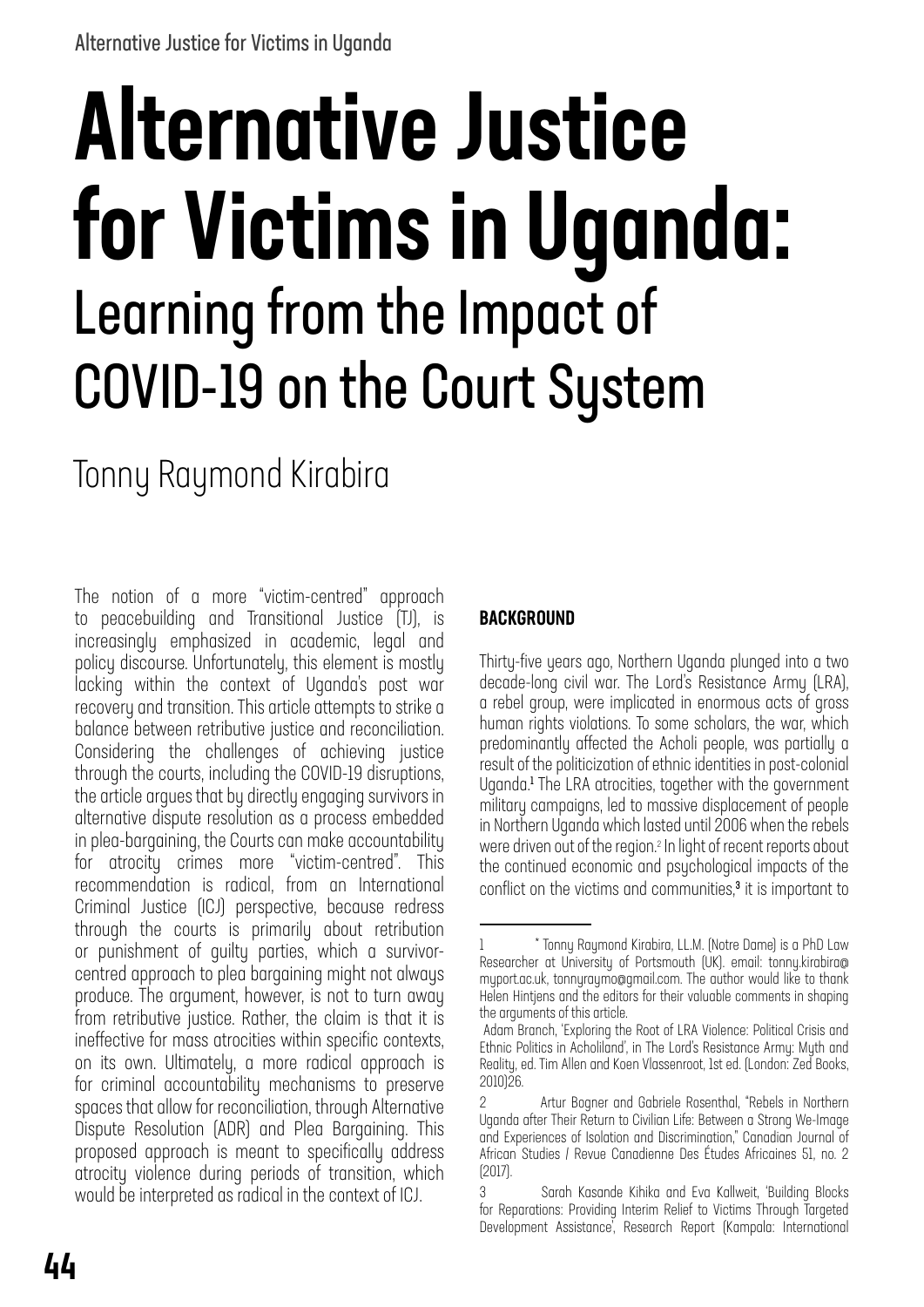# Alternative Justice for Victims in Uganda: Learning from the Impact of COVID-19 on the Court System

Tonny Raymond Kirabira

The notion of a more "victim-centred" approach to peacebuilding and Transitional Justice (TJ), is increasingly emphasized in academic, legal and policy discourse. Unfortunately, this element is mostly lacking within the context of Uganda's post war recovery and transition. This article attempts to strike a balance between retributive justice and reconciliation. Considering the challenges of achieving justice through the courts, including the COVID-19 disruptions, the article argues that by directly engaging survivors in alternative dispute resolution as a process embedded in plea-bargaining, the Courts can make accountability for atrocity crimes more "victim-centred". This recommendation is radical, from an International Criminal Justice (ICJ) perspective, because redress through the courts is primarily about retribution or punishment of guilty parties, which a survivorcentred approach to plea bargaining might not always produce. The argument, however, is not to turn away from retributive justice. Rather, the claim is that it is ineffective for mass atrocities within specific contexts, on its own. Ultimately, a more radical approach is for criminal accountability mechanisms to preserve spaces that allow for reconciliation, through Alternative Dispute Resolution (ADR) and Plea Bargaining. This proposed approach is meant to specifically address atrocity violence during periods of transition, which would be interpreted as radical in the context of ICJ.

#### **BACKGROUND**

Thirty-five years ago, Northern Uganda plunged into a two decade-long civil war. The Lord's Resistance Army (LRA), a rebel group, were implicated in enormous acts of gross human rights violations. To some scholars, the war, which predominantly affected the Acholi people, was partially a result of the politicization of ethnic identities in post-colonial Uganda.<sup>1</sup> The LRA atrocities, together with the government military campaigns, led to massive displacement of people in Northern Uganda which lasted until 2006 when the rebels were driven out of the region.2 In light of recent reports about the continued economic and psychological impacts of the conflict on the victims and communities,<sup>3</sup> it is important to

<sup>1</sup> \* Tonny Raymond Kirabira, LL.M. (Notre Dame) is a PhD Law Researcher at University of Portsmouth (UK). email: tonny.kirabira@ myport.ac.uk, tonnyraymo@gmail.com. The author would like to thank Helen Hintjens and the editors for their valuable comments in shaping the arguments of this article.

Adam Branch, 'Exploring the Root of LRA Violence: Political Crisis and Ethnic Politics in Acholiland', in The Lord's Resistance Army: Myth and Reality, ed. Tim Allen and Koen Vlassenroot, 1st ed. (London: Zed Books, 2010)26.

<sup>2</sup> Artur Bogner and Gabriele Rosenthal, "Rebels in Northern Uganda after Their Return to Civilian Life: Between a Strong We-Image and Experiences of Isolation and Discrimination," Canadian Journal of African Studies / Revue Canadienne Des Études Africaines 51, no. 2 (2017).

<sup>3</sup> Sarah Kasande Kihika and Eva Kallweit, 'Building Blocks for Reparations: Providing Interim Relief to Victims Through Targeted Development Assistance', Research Report (Kampala: International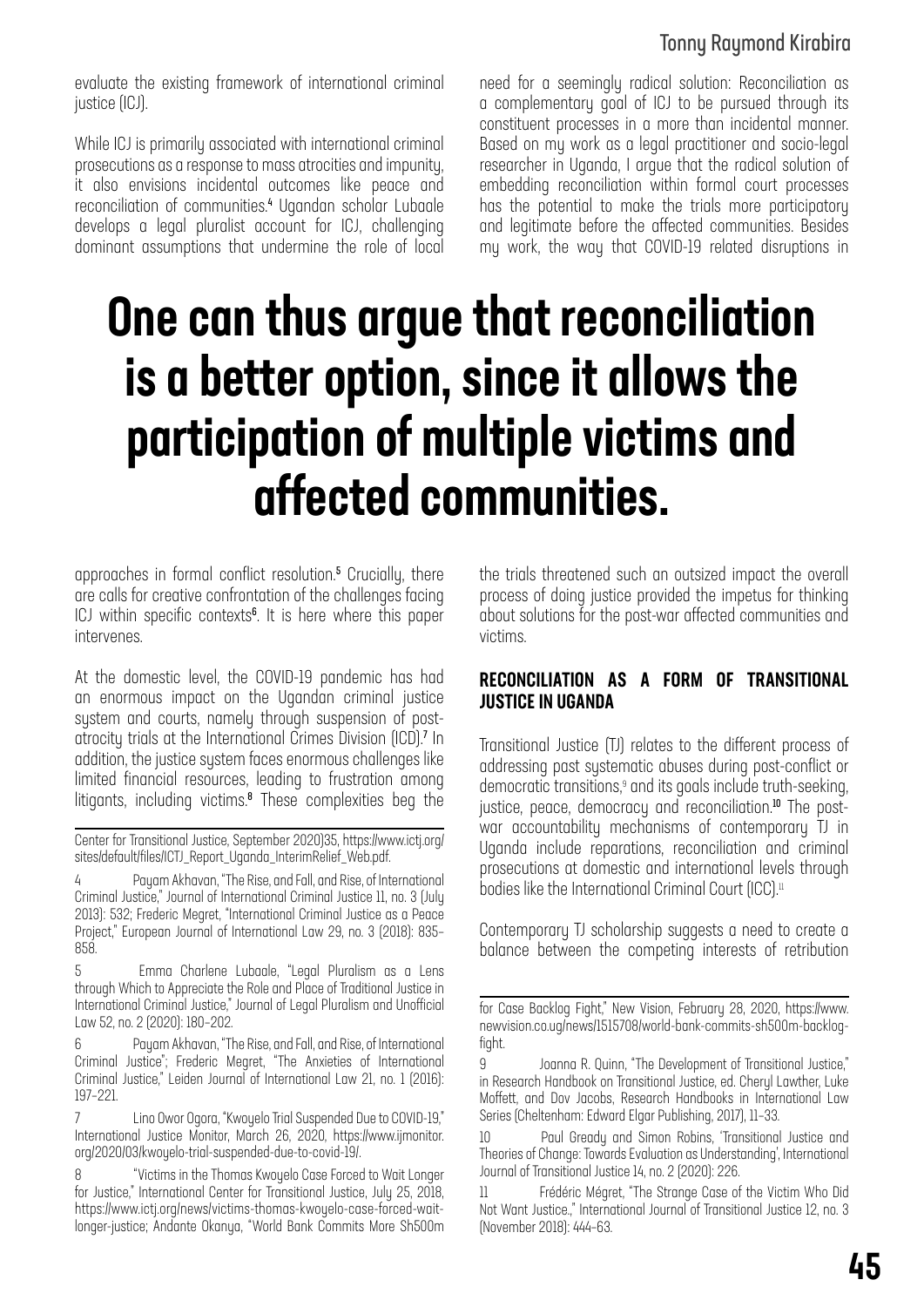# Tonny Raymond Kirabira

evaluate the existing framework of international criminal justice (ICJ).

While ICJ is primarily associated with international criminal prosecutions as a response to mass atrocities and impunity, it also envisions incidental outcomes like peace and reconciliation of communities.<sup>4</sup> Ugandan scholar Lubaale develops a legal pluralist account for ICJ, challenging dominant assumptions that undermine the role of local

need for a seemingly radical solution: Reconciliation as a complementary goal of ICJ to be pursued through its constituent processes in a more than incidental manner. Based on my work as a legal practitioner and socio-legal researcher in Uganda, I argue that the radical solution of embedding reconciliation within formal court processes has the potential to make the trials more participatory and legitimate before the affected communities. Besides my work, the way that COVID-19 related disruptions in

# One can thus argue that reconciliation is a better option, since it allows the participation of multiple victims and affected communities.

approaches in formal conflict resolution.<sup>5</sup> Crucially, there are calls for creative confrontation of the challenges facing ICJ within specific contexts<sup>6</sup>. It is here where this paper intervenes.

At the domestic level, the COVID-19 pandemic has had an enormous impact on the Ugandan criminal justice system and courts, namely through suspension of postatrocity trials at the International Crimes Division (ICD).<sup>7</sup> In addition, the justice system faces enormous challenges like limited financial resources, leading to frustration among litigants, including victims.<sup>8</sup> These complexities beg the

Center for Transitional Justice, September 2020)35, https://www.ictj.org/ sites/default/files/ICTJ\_Report\_Uganda\_InterimRelief\_Web.pdf.

Payam Akhavan, "The Rise, and Fall, and Rise, of International Criminal Justice," Journal of International Criminal Justice 11, no. 3 (July 2013): 532; Frederic Megret, "International Criminal Justice as a Peace Project," European Journal of International Law 29, no. 3 (2018): 835– 858.

5 Emma Charlene Lubaale, "Legal Pluralism as a Lens through Which to Appreciate the Role and Place of Traditional Justice in International Criminal Justice," Journal of Legal Pluralism and Unofficial Law 52, no. 2 (2020): 180–202.

Payam Akhavan, "The Rise, and Fall, and Rise, of International Criminal Justice"; Frederic Megret, "The Anxieties of International Criminal Justice," Leiden Journal of International Law 21, no. 1 (2016): 197–221.

7 Lino Owor Ogora, "Kwoyelo Trial Suspended Due to COVID-19," International Justice Monitor, March 26, 2020, https://www.ijmonitor. org/2020/03/kwoyelo-trial-suspended-due-to-covid-19/.

8 "Victims in the Thomas Kwoyelo Case Forced to Wait Longer for Justice," International Center for Transitional Justice, July 25, 2018, https://www.ictj.org/news/victims-thomas-kwoyelo-case-forced-waitlonger-justice; Andante Okanya, "World Bank Commits More Sh500m the trials threatened such an outsized impact the overall process of doing justice provided the impetus for thinking about solutions for the post-war affected communities and victims.

#### RECONCILIATION AS A FORM OF TRANSITIONAL JUSTICE IN UGANDA

Transitional Justice (TJ) relates to the different process of addressing past systematic abuses during post-conflict or democratic transitions,<sup>9</sup> and its goals include truth-seeking, justice, peace, democracy and reconciliation.<sup>10</sup> The postwar accountability mechanisms of contemporary TJ in Uganda include reparations, reconciliation and criminal prosecutions at domestic and international levels through bodies like the International Criminal Court (ICC). $\scriptstyle\rm II$ 

Contemporary TJ scholarship suggests a need to create a balance between the competing interests of retribution

Paul Gready and Simon Robins, 'Transitional Justice and Theories of Change: Towards Evaluation as Understanding', International Journal of Transitional Justice 14, no. 2 (2020): 226.

11 Frédéric Mégret, "The Strange Case of the Victim Who Did Not Want Justice.," International Journal of Transitional Justice 12, no. 3 (November 2018): 444–63.

for Case Backlog Fight," New Vision, February 28, 2020, https://www. newvision.co.ug/news/1515708/world-bank-commits-sh500m-backlogfight.

<sup>9</sup> Joanna R. Quinn, "The Development of Transitional Justice," in Research Handbook on Transitional Justice, ed. Cheryl Lawther, Luke Moffett, and Dov Jacobs, Research Handbooks in International Law Series (Cheltenham: Edward Elgar Publishing, 2017), 11–33.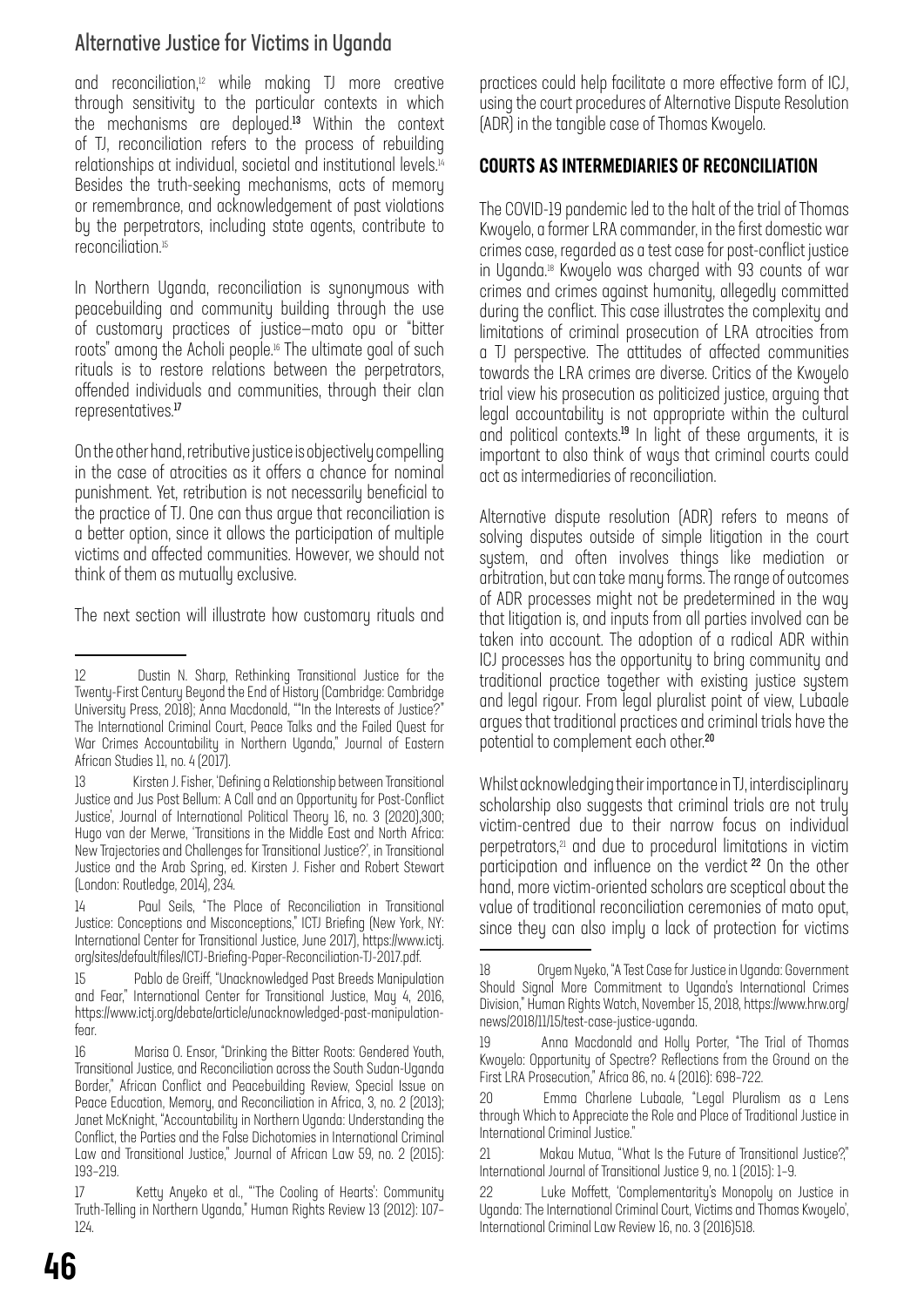# Alternative Justice for Victims in Uganda

and reconciliation,<sup>12</sup> while making TJ more creative through sensitivity to the particular contexts in which the mechanisms are deployed.<sup>13</sup> Within the context of TJ, reconciliation refers to the process of rebuilding relationships at individual, societal and institutional levels.14 Besides the truth-seeking mechanisms, acts of memory or remembrance, and acknowledgement of past violations by the perpetrators, including state agents, contribute to reconciliation.15

In Northern Uganda, reconciliation is synonymous with peacebuilding and community building through the use of customary practices of justice—mato opu or "bitter roots" among the Acholi people.16 The ultimate goal of such rituals is to restore relations between the perpetrators, offended individuals and communities, through their clan representatives.<sup>17</sup>

On the other hand, retributive justice is objectively compelling in the case of atrocities as it offers a chance for nominal punishment. Yet, retribution is not necessarily beneficial to the practice of TJ. One can thus argue that reconciliation is a better option, since it allows the participation of multiple victims and affected communities. However, we should not think of them as mutually exclusive.

The next section will illustrate how customary rituals and

practices could help facilitate a more effective form of ICJ, using the court procedures of Alternative Dispute Resolution (ADR) in the tangible case of Thomas Kwoyelo.

#### COURTS AS INTERMEDIARIES OF RECONCILIATION

The COVID-19 pandemic led to the halt of the trial of Thomas Kwoyelo, a former LRA commander, in the first domestic war crimes case, regarded as a test case for post-conflict justice in Uganda.18 Kwoyelo was charged with 93 counts of war crimes and crimes against humanity, allegedly committed during the conflict. This case illustrates the complexity and limitations of criminal prosecution of LRA atrocities from a TJ perspective. The attitudes of affected communities towards the LRA crimes are diverse. Critics of the Kwoyelo trial view his prosecution as politicized justice, arguing that legal accountability is not appropriate within the cultural and political contexts.<sup>19</sup> In light of these arguments, it is important to also think of ways that criminal courts could act as intermediaries of reconciliation.

Alternative dispute resolution (ADR) refers to means of solving disputes outside of simple litigation in the court system, and often involves things like mediation or arbitration, but can take many forms. The range of outcomes of ADR processes might not be predetermined in the way that litigation is, and inputs from all parties involved can be taken into account. The adoption of a radical ADR within ICJ processes has the opportunity to bring community and traditional practice together with existing justice system and legal rigour. From legal pluralist point of view, Lubaale argues that traditional practices and criminal trials have the potential to complement each other.<sup>20</sup>

Whilst acknowledging their importance in TJ, interdisciplinary scholarship also suggests that criminal trials are not truly victim-centred due to their narrow focus on individual perpetrators,<sup>21</sup> and due to procedural limitations in victim participation and influence on the verdict <sup>22</sup> On the other hand, more victim-oriented scholars are sceptical about the value of traditional reconciliation ceremonies of mato oput, since they can also imply a lack of protection for victims

<sup>12</sup> Dustin N. Sharp, Rethinking Transitional Justice for the Twenty-First Century Beyond the End of History (Cambridge: Cambridge University Press, 2018); Anna Macdonald, ""In the Interests of Justice?" The International Criminal Court, Peace Talks and the Failed Quest for War Crimes Accountability in Northern Uganda," Journal of Eastern African Studies 11, no. 4 (2017).

<sup>13</sup> Kirsten J. Fisher, 'Defining a Relationship between Transitional Justice and Jus Post Bellum: A Call and an Opportunity for Post-Conflict Justice', Journal of International Political Theory 16, no. 3 (2020),300; Hugo van der Merwe, 'Transitions in the Middle East and North Africa: New Trajectories and Challenges for Transitional Justice?', in Transitional Justice and the Arab Spring, ed. Kirsten J. Fisher and Robert Stewart (London: Routledge, 2014), 234.

<sup>14</sup> Paul Seils, "The Place of Reconciliation in Transitional Justice: Conceptions and Misconceptions," ICTJ Briefing (New York, NY: International Center for Transitional Justice, June 2017), https://www.ictj. org/sites/default/files/ICTJ-Briefing-Paper-Reconciliation-TJ-2017.pdf.

<sup>15</sup> Pablo de Greiff, "Unacknowledged Past Breeds Manipulation and Fear," International Center for Transitional Justice, May 4, 2016, https://www.ictj.org/debate/article/unacknowledged-past-manipulationfear.

<sup>16</sup> Marisa O. Ensor, "Drinking the Bitter Roots: Gendered Youth, Transitional Justice, and Reconciliation across the South Sudan-Uganda Border," African Conflict and Peacebuilding Review, Special Issue on Peace Education, Memory, and Reconciliation in Africa, 3, no. 2 (2013); Janet McKnight, "Accountability in Northern Uganda: Understanding the Conflict, the Parties and the False Dichotomies in International Criminal Law and Transitional Justice," Journal of African Law 59, no. 2 (2015): 193–219.

<sup>17</sup> Ketty Anyeko et al., "'The Cooling of Hearts': Community Truth-Telling in Northern Uganda," Human Rights Review 13 (2012): 107– 124.

<sup>18</sup> Oryem Nyeko, "A Test Case for Justice in Uganda: Government Should Signal More Commitment to Uganda's International Crimes Division," Human Rights Watch, November 15, 2018, https://www.hrw.org/ news/2018/11/15/test-case-justice-uganda.

<sup>19</sup> Anna Macdonald and Holly Porter, "The Trial of Thomas Kwoyelo: Opportunity of Spectre? Reflections from the Ground on the First LRA Prosecution," Africa 86, no. 4 (2016): 698–722.

<sup>20</sup> Emma Charlene Lubaale, "Legal Pluralism as a Lens through Which to Appreciate the Role and Place of Traditional Justice in International Criminal Justice."

<sup>21</sup> Makau Mutua, "What Is the Future of Transitional Justice?," International Journal of Transitional Justice 9, no. 1 (2015): 1–9.

<sup>22</sup> Luke Moffett, 'Complementarity's Monopoly on Justice in Uganda: The International Criminal Court, Victims and Thomas Kwoyelo', International Criminal Law Review 16, no. 3 (2016)518.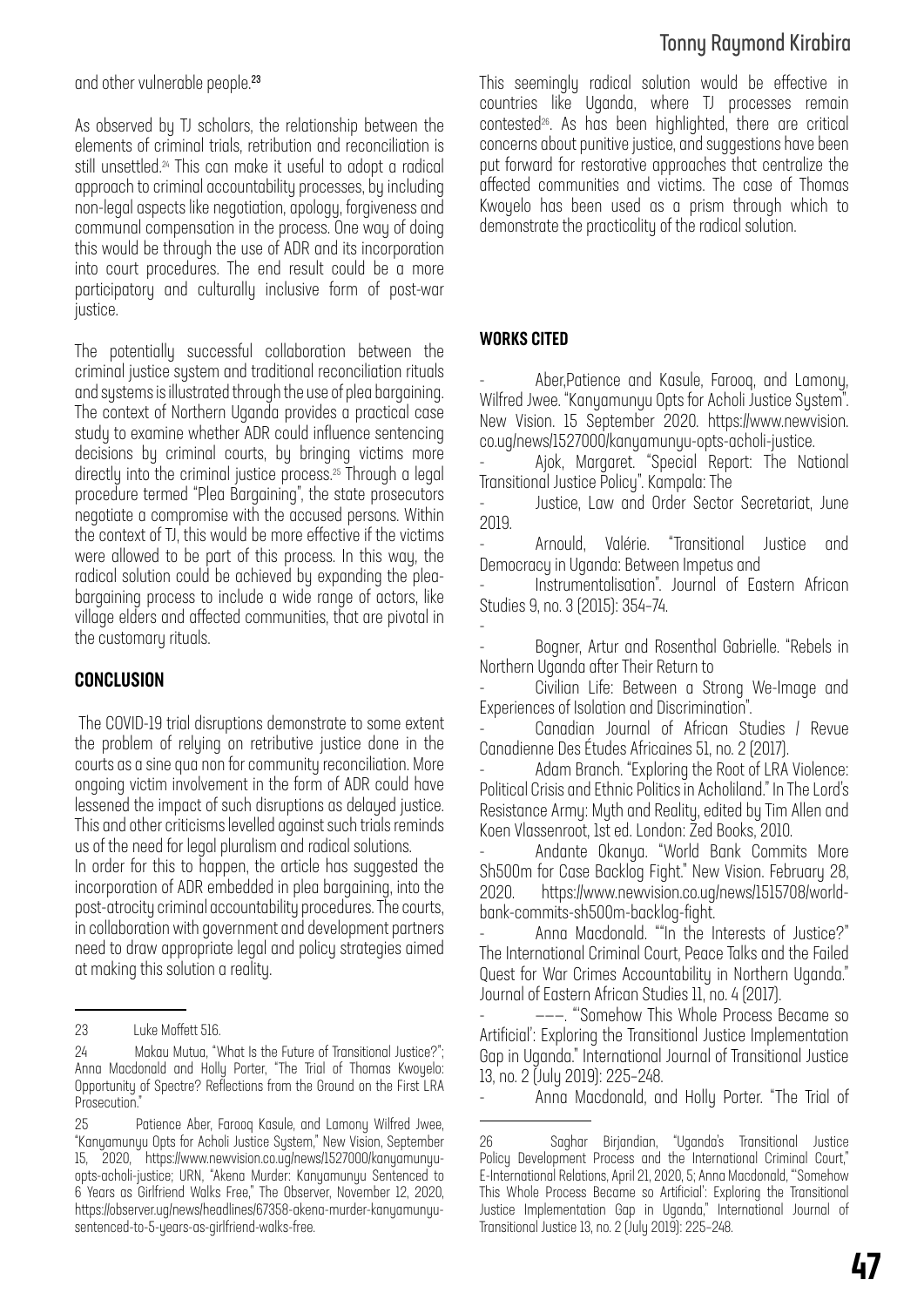and other vulnerable people.<sup>23</sup>

As observed by TJ scholars, the relationship between the elements of criminal trials, retribution and reconciliation is still unsettled.<sup>24</sup> This can make it useful to adopt a radical approach to criminal accountability processes, by including non-legal aspects like negotiation, apology, forgiveness and communal compensation in the process. One way of doing this would be through the use of ADR and its incorporation into court procedures. The end result could be a more participatory and culturally inclusive form of post-war justice.

The potentially successful collaboration between the criminal justice system and traditional reconciliation rituals and systems is illustrated through the use of plea bargaining. The context of Northern Uganda provides a practical case study to examine whether ADR could influence sentencing decisions by criminal courts, by bringing victims more directly into the criminal justice process.25 Through a legal procedure termed "Plea Bargaining", the state prosecutors negotiate a compromise with the accused persons. Within the context of TJ, this would be more effective if the victims were allowed to be part of this process. In this way, the radical solution could be achieved by expanding the pleabargaining process to include a wide range of actors, like village elders and affected communities, that are pivotal in the customary rituals.

#### CONCLUSION

 The COVID-19 trial disruptions demonstrate to some extent the problem of relying on retributive justice done in the courts as a sine qua non for community reconciliation. More ongoing victim involvement in the form of ADR could have lessened the impact of such disruptions as delayed justice. This and other criticisms levelled against such trials reminds us of the need for legal pluralism and radical solutions.

In order for this to happen, the article has suggested the incorporation of ADR embedded in plea bargaining, into the post-atrocity criminal accountability procedures.The courts, in collaboration with government and development partners need to draw appropriate legal and policy strategies aimed at making this solution a reality.

# Tonny Raymond Kirabira

This seemingly radical solution would be effective in countries like Uganda, where TJ processes remain contested<sup>26</sup>. As has been highlighted, there are critical concerns about punitive justice, and suggestions have been put forward for restorative approaches that centralize the affected communities and victims. The case of Thomas Kwoyelo has been used as a prism through which to demonstrate the practicality of the radical solution.

#### WORKS CITED

- Aber,Patience and Kasule, Farooq, and Lamony, Wilfred Jwee. "Kanyamunyu Opts for Acholi Justice System". New Vision. 15 September 2020. https://www.newvision. co.ug/news/1527000/kanyamunyu-opts-acholi-justice.

Ajok, Margaret. "Special Report: The National Transitional Justice Policy". Kampala: The

Justice, Law and Order Sector Secretariat, June 2019.

- Arnould, Valérie. "Transitional Justice and Democracy in Uganda: Between Impetus and

Instrumentalisation". Journal of Eastern African Studies 9, no. 3 (2015): 354–74.

- - Bogner, Artur and Rosenthal Gabrielle. "Rebels in Northern Uganda after Their Return to

- Civilian Life: Between a Strong We-Image and Experiences of Isolation and Discrimination".

- Canadian Journal of African Studies / Revue Canadienne Des Études Africaines 51, no. 2 (2017).

Adam Branch. "Exploring the Root of LRA Violence: Political Crisis and Ethnic Politics in Acholiland." In The Lord's Resistance Army: Myth and Reality, edited by Tim Allen and Koen Vlassenroot, 1st ed. London: Zed Books, 2010.

- Andante Okanya. "World Bank Commits More Sh500m for Case Backlog Fight." New Vision. February 28, 2020. https://www.newvision.co.ug/news/1515708/worldbank-commits-sh500m-backlog-fight.

Anna Macdonald. ""In the Interests of Justice?" The International Criminal Court, Peace Talks and the Failed Quest for War Crimes Accountability in Northern Uganda." Journal of Eastern African Studies 11, no. 4 (2017).

---. "Somehow This Whole Process Became so Artificial': Exploring the Transitional Justice Implementation Gap in Uganda." International Journal of Transitional Justice 13, no. 2 (July 2019): 225–248.

- Anna Macdonald, and Holly Porter. "The Trial of

<sup>23</sup> Luke Moffett 516.

<sup>24</sup> Makau Mutua, "What Is the Future of Transitional Justice?"; Anna Macdonald and Holly Porter, "The Trial of Thomas Kwoyelo: Opportunity of Spectre? Reflections from the Ground on the First LRA Prosecution."

<sup>25</sup> Patience Aber, Farooq Kasule, and Lamony Wilfred Jwee, "Kanyamunyu Opts for Acholi Justice System," New Vision, September 15, 2020, https://www.newvision.co.ug/news/1527000/kanyamunyuopts-acholi-justice; URN, "Akena Murder: Kanyamunyu Sentenced to 6 Years as Girlfriend Walks Free," The Observer, November 12, 2020, https://observer.ug/news/headlines/67358-akena-murder-kanyamunyusentenced-to-5-years-as-girlfriend-walks-free.

<sup>26</sup> Saghar Birjandian, "Uganda's Transitional Justice Policy Development Process and the International Criminal Court," E-International Relations, April 21, 2020, 5; Anna Macdonald, "'Somehow This Whole Process Became so Artificial': Exploring the Transitional Justice Implementation Gap in Uganda," International Journal of Transitional Justice 13, no. 2 (July 2019): 225–248.